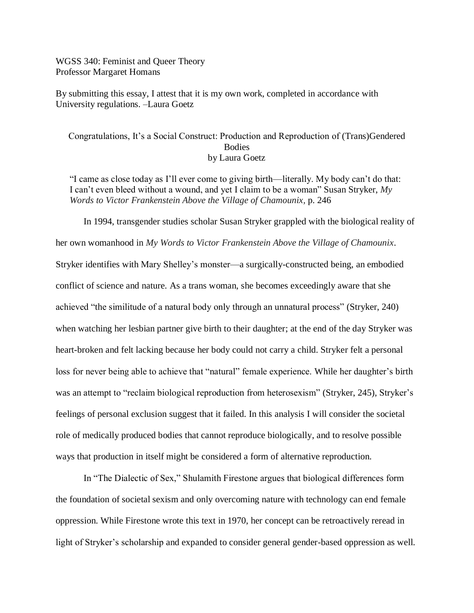WGSS 340: Feminist and Queer Theory Professor Margaret Homans

By submitting this essay, I attest that it is my own work, completed in accordance with University regulations. –Laura Goetz

## Congratulations, It's a Social Construct: Production and Reproduction of (Trans)Gendered **Bodies** by Laura Goetz

"I came as close today as I'll ever come to giving birth—literally. My body can't do that: I can't even bleed without a wound, and yet I claim to be a woman" Susan Stryker, *My Words to Victor Frankenstein Above the Village of Chamounix,* p. 246

In 1994, transgender studies scholar Susan Stryker grappled with the biological reality of her own womanhood in *My Words to Victor Frankenstein Above the Village of Chamounix*. Stryker identifies with Mary Shelley's monster—a surgically-constructed being, an embodied conflict of science and nature. As a trans woman, she becomes exceedingly aware that she achieved "the similitude of a natural body only through an unnatural process" (Stryker, 240) when watching her lesbian partner give birth to their daughter; at the end of the day Stryker was heart-broken and felt lacking because her body could not carry a child. Stryker felt a personal loss for never being able to achieve that "natural" female experience. While her daughter's birth was an attempt to "reclaim biological reproduction from heterosexism" (Stryker, 245), Stryker's feelings of personal exclusion suggest that it failed. In this analysis I will consider the societal role of medically produced bodies that cannot reproduce biologically, and to resolve possible ways that production in itself might be considered a form of alternative reproduction.

In "The Dialectic of Sex," Shulamith Firestone argues that biological differences form the foundation of societal sexism and only overcoming nature with technology can end female oppression. While Firestone wrote this text in 1970, her concept can be retroactively reread in light of Stryker's scholarship and expanded to consider general gender-based oppression as well.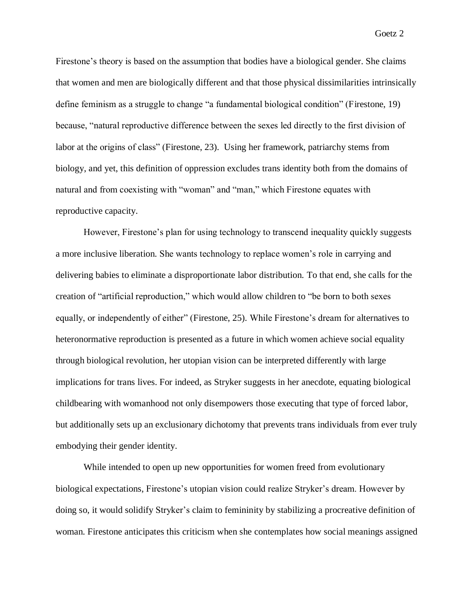Firestone's theory is based on the assumption that bodies have a biological gender. She claims that women and men are biologically different and that those physical dissimilarities intrinsically define feminism as a struggle to change "a fundamental biological condition" (Firestone, 19) because, "natural reproductive difference between the sexes led directly to the first division of labor at the origins of class" (Firestone, 23). Using her framework, patriarchy stems from biology, and yet, this definition of oppression excludes trans identity both from the domains of natural and from coexisting with "woman" and "man," which Firestone equates with reproductive capacity.

However, Firestone's plan for using technology to transcend inequality quickly suggests a more inclusive liberation. She wants technology to replace women's role in carrying and delivering babies to eliminate a disproportionate labor distribution. To that end, she calls for the creation of "artificial reproduction," which would allow children to "be born to both sexes equally, or independently of either" (Firestone, 25). While Firestone's dream for alternatives to heteronormative reproduction is presented as a future in which women achieve social equality through biological revolution, her utopian vision can be interpreted differently with large implications for trans lives. For indeed, as Stryker suggests in her anecdote, equating biological childbearing with womanhood not only disempowers those executing that type of forced labor, but additionally sets up an exclusionary dichotomy that prevents trans individuals from ever truly embodying their gender identity.

While intended to open up new opportunities for women freed from evolutionary biological expectations, Firestone's utopian vision could realize Stryker's dream. However by doing so, it would solidify Stryker's claim to femininity by stabilizing a procreative definition of woman. Firestone anticipates this criticism when she contemplates how social meanings assigned

Goetz 2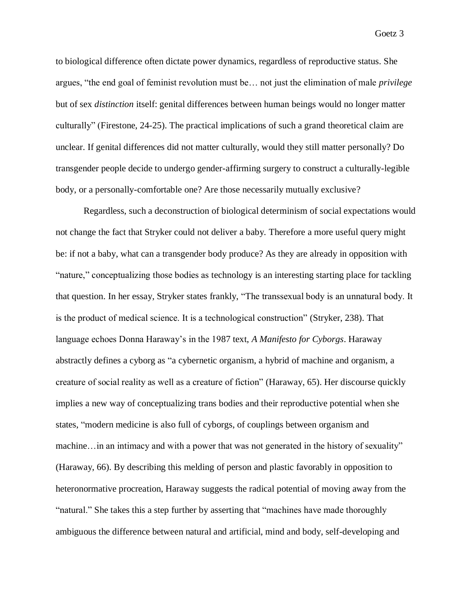Goetz 3

to biological difference often dictate power dynamics, regardless of reproductive status. She argues, "the end goal of feminist revolution must be… not just the elimination of male *privilege* but of sex *distinction* itself: genital differences between human beings would no longer matter culturally" (Firestone, 24-25). The practical implications of such a grand theoretical claim are unclear. If genital differences did not matter culturally, would they still matter personally? Do transgender people decide to undergo gender-affirming surgery to construct a culturally-legible body, or a personally-comfortable one? Are those necessarily mutually exclusive?

Regardless, such a deconstruction of biological determinism of social expectations would not change the fact that Stryker could not deliver a baby. Therefore a more useful query might be: if not a baby, what can a transgender body produce? As they are already in opposition with "nature," conceptualizing those bodies as technology is an interesting starting place for tackling that question. In her essay, Stryker states frankly, "The transsexual body is an unnatural body. It is the product of medical science. It is a technological construction" (Stryker, 238). That language echoes Donna Haraway's in the 1987 text, *A Manifesto for Cyborgs*. Haraway abstractly defines a cyborg as "a cybernetic organism, a hybrid of machine and organism, a creature of social reality as well as a creature of fiction" (Haraway, 65). Her discourse quickly implies a new way of conceptualizing trans bodies and their reproductive potential when she states, "modern medicine is also full of cyborgs, of couplings between organism and machine…in an intimacy and with a power that was not generated in the history of sexuality" (Haraway, 66). By describing this melding of person and plastic favorably in opposition to heteronormative procreation, Haraway suggests the radical potential of moving away from the "natural." She takes this a step further by asserting that "machines have made thoroughly ambiguous the difference between natural and artificial, mind and body, self-developing and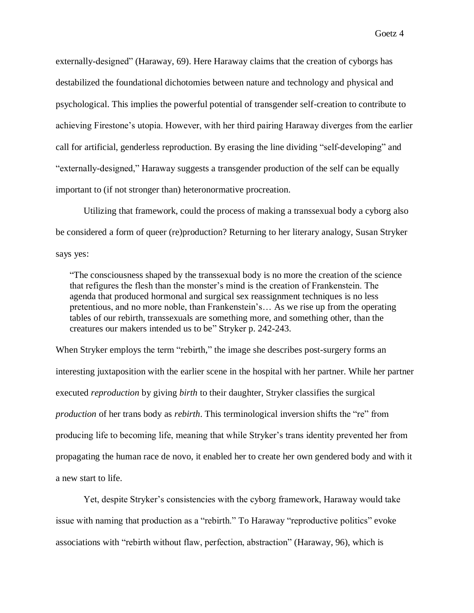externally-designed" (Haraway, 69). Here Haraway claims that the creation of cyborgs has destabilized the foundational dichotomies between nature and technology and physical and psychological. This implies the powerful potential of transgender self-creation to contribute to achieving Firestone's utopia. However, with her third pairing Haraway diverges from the earlier call for artificial, genderless reproduction. By erasing the line dividing "self-developing" and "externally-designed," Haraway suggests a transgender production of the self can be equally important to (if not stronger than) heteronormative procreation.

Utilizing that framework, could the process of making a transsexual body a cyborg also be considered a form of queer (re)production? Returning to her literary analogy, Susan Stryker says yes:

"The consciousness shaped by the transsexual body is no more the creation of the science that refigures the flesh than the monster's mind is the creation of Frankenstein. The agenda that produced hormonal and surgical sex reassignment techniques is no less pretentious, and no more noble, than Frankenstein's… As we rise up from the operating tables of our rebirth, transsexuals are something more, and something other, than the creatures our makers intended us to be" Stryker p. 242-243.

When Stryker employs the term "rebirth," the image she describes post-surgery forms an interesting juxtaposition with the earlier scene in the hospital with her partner. While her partner executed *reproduction* by giving *birth* to their daughter, Stryker classifies the surgical *production* of her trans body as *rebirth*. This terminological inversion shifts the "re" from producing life to becoming life, meaning that while Stryker's trans identity prevented her from propagating the human race de novo, it enabled her to create her own gendered body and with it a new start to life.

Yet, despite Stryker's consistencies with the cyborg framework, Haraway would take issue with naming that production as a "rebirth." To Haraway "reproductive politics" evoke associations with "rebirth without flaw, perfection, abstraction" (Haraway, 96), which is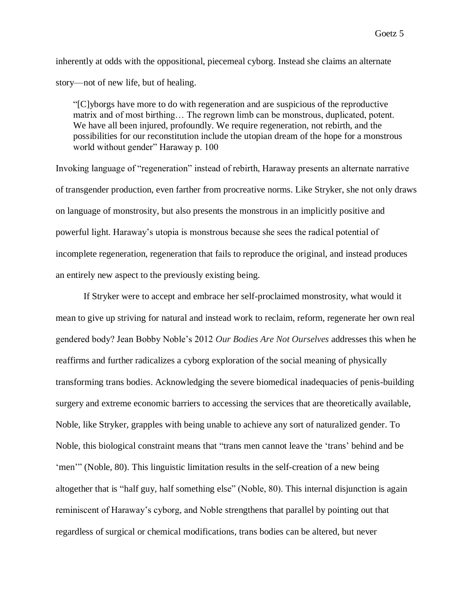inherently at odds with the oppositional, piecemeal cyborg. Instead she claims an alternate story—not of new life, but of healing.

"[C]yborgs have more to do with regeneration and are suspicious of the reproductive matrix and of most birthing… The regrown limb can be monstrous, duplicated, potent. We have all been injured, profoundly. We require regeneration, not rebirth, and the possibilities for our reconstitution include the utopian dream of the hope for a monstrous world without gender" Haraway p. 100

Invoking language of "regeneration" instead of rebirth, Haraway presents an alternate narrative of transgender production, even farther from procreative norms. Like Stryker, she not only draws on language of monstrosity, but also presents the monstrous in an implicitly positive and powerful light. Haraway's utopia is monstrous because she sees the radical potential of incomplete regeneration, regeneration that fails to reproduce the original, and instead produces an entirely new aspect to the previously existing being.

If Stryker were to accept and embrace her self-proclaimed monstrosity, what would it mean to give up striving for natural and instead work to reclaim, reform, regenerate her own real gendered body? Jean Bobby Noble's 2012 *Our Bodies Are Not Ourselves* addresses this when he reaffirms and further radicalizes a cyborg exploration of the social meaning of physically transforming trans bodies. Acknowledging the severe biomedical inadequacies of penis-building surgery and extreme economic barriers to accessing the services that are theoretically available, Noble, like Stryker, grapples with being unable to achieve any sort of naturalized gender. To Noble, this biological constraint means that "trans men cannot leave the 'trans' behind and be 'men'" (Noble, 80). This linguistic limitation results in the self-creation of a new being altogether that is "half guy, half something else" (Noble, 80). This internal disjunction is again reminiscent of Haraway's cyborg, and Noble strengthens that parallel by pointing out that regardless of surgical or chemical modifications, trans bodies can be altered, but never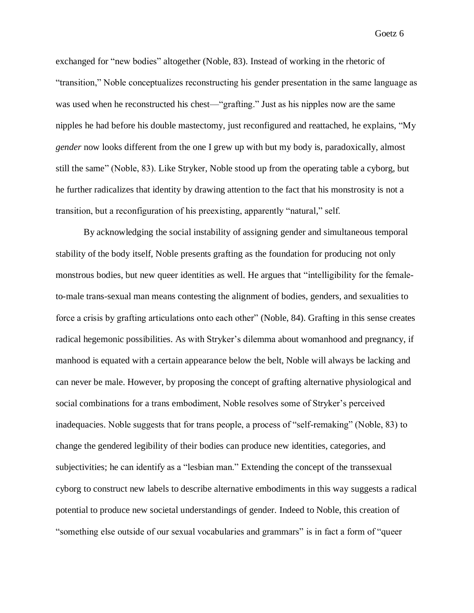Goetz 6

exchanged for "new bodies" altogether (Noble, 83). Instead of working in the rhetoric of "transition," Noble conceptualizes reconstructing his gender presentation in the same language as was used when he reconstructed his chest—"grafting." Just as his nipples now are the same nipples he had before his double mastectomy, just reconfigured and reattached, he explains, "My *gender* now looks different from the one I grew up with but my body is, paradoxically, almost still the same" (Noble, 83). Like Stryker, Noble stood up from the operating table a cyborg, but he further radicalizes that identity by drawing attention to the fact that his monstrosity is not a transition, but a reconfiguration of his preexisting, apparently "natural," self.

By acknowledging the social instability of assigning gender and simultaneous temporal stability of the body itself, Noble presents grafting as the foundation for producing not only monstrous bodies, but new queer identities as well. He argues that "intelligibility for the femaleto-male trans-sexual man means contesting the alignment of bodies, genders, and sexualities to force a crisis by grafting articulations onto each other" (Noble, 84). Grafting in this sense creates radical hegemonic possibilities. As with Stryker's dilemma about womanhood and pregnancy, if manhood is equated with a certain appearance below the belt, Noble will always be lacking and can never be male. However, by proposing the concept of grafting alternative physiological and social combinations for a trans embodiment, Noble resolves some of Stryker's perceived inadequacies. Noble suggests that for trans people, a process of "self-remaking" (Noble, 83) to change the gendered legibility of their bodies can produce new identities, categories, and subjectivities; he can identify as a "lesbian man." Extending the concept of the transsexual cyborg to construct new labels to describe alternative embodiments in this way suggests a radical potential to produce new societal understandings of gender. Indeed to Noble, this creation of "something else outside of our sexual vocabularies and grammars" is in fact a form of "queer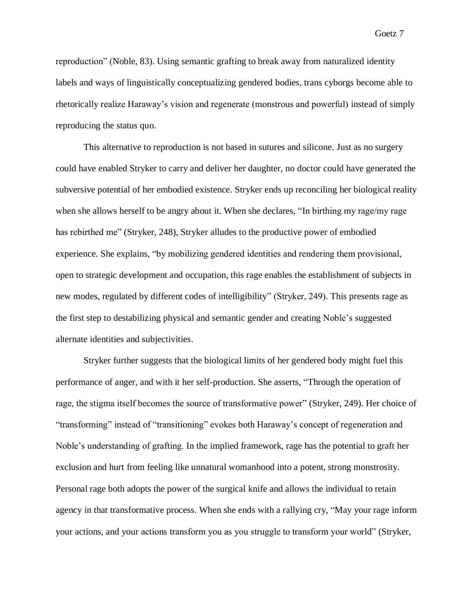Goetz 7

reproduction" (Noble, 83). Using semantic grafting to break away from naturalized identity labels and ways of linguistically conceptualizing gendered bodies, trans cyborgs become able to rhetorically realize Haraway's vision and regenerate (monstrous and powerful) instead of simply reproducing the status quo.

This alternative to reproduction is not based in sutures and silicone. Just as no surgery could have enabled Stryker to carry and deliver her daughter, no doctor could have generated the subversive potential of her embodied existence. Stryker ends up reconciling her biological reality when she allows herself to be angry about it. When she declares, "In birthing my rage/my rage has rebirthed me" (Stryker, 248), Stryker alludes to the productive power of embodied experience. She explains, "by mobilizing gendered identities and rendering them provisional, open to strategic development and occupation, this rage enables the establishment of subjects in new modes, regulated by different codes of intelligibility" (Stryker, 249). This presents rage as the first step to destabilizing physical and semantic gender and creating Noble's suggested alternate identities and subjectivities.

Stryker further suggests that the biological limits of her gendered body might fuel this performance of anger, and with it her self-production. She asserts, "Through the operation of rage, the stigma itself becomes the source of transformative power" (Stryker, 249). Her choice of "transforming" instead of "transitioning" evokes both Haraway's concept of regeneration and Noble's understanding of grafting. In the implied framework, rage has the potential to graft her exclusion and hurt from feeling like unnatural womanhood into a potent, strong monstrosity. Personal rage both adopts the power of the surgical knife and allows the individual to retain agency in that transformative process. When she ends with a rallying cry, "May your rage inform your actions, and your actions transform you as you struggle to transform your world" (Stryker,